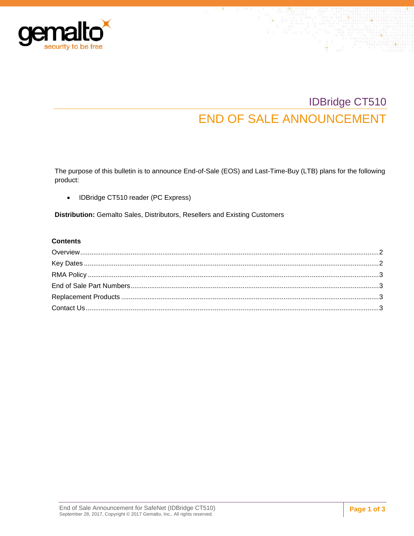

# IDBridge CT510 END OF SALE ANNOUNCEMENT

The purpose of this bulletin is to announce End-of-Sale (EOS) and Last-Time-Buy (LTB) plans for the following product:

• IDBridge CT510 reader (PC Express)

**Distribution:** Gemalto Sales, Distributors, Resellers and Existing Customers

#### **Contents**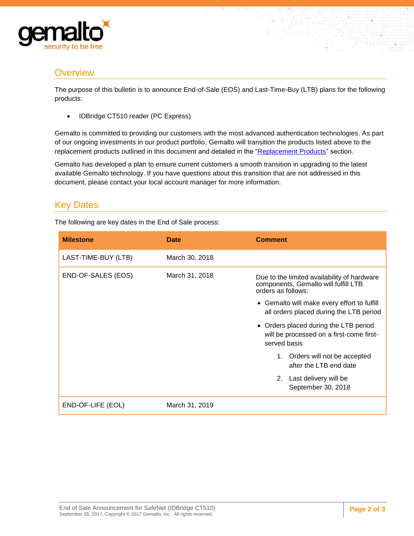

# <span id="page-1-0"></span>**Overview**

The purpose of this bulletin is to announce End-of-Sale (EOS) and Last-Time-Buy (LTB) plans for the following products:

• IDBridge CT510 reader (PC Express)

Gemalto is committed to providing our customers with the most advanced authentication technologies. As part of our ongoing investments in our product portfolio, Gemalto will transition the products listed above to the replacement products outlined in this document and detailed in the ["Replacement Products"](#page-2-4) section.

Gemalto has developed a plan to ensure current customers a smooth transition in upgrading to the latest available Gemalto technology. If you have questions about this transition that are not addressed in this document, please contact your local account manager for more information.

# <span id="page-1-1"></span>Key Dates

The following are key dates in the End of Sale process:

| <b>Milestone</b>    | Date           | <b>Comment</b>                                                                                            |
|---------------------|----------------|-----------------------------------------------------------------------------------------------------------|
| LAST-TIME-BUY (LTB) | March 30, 2018 |                                                                                                           |
| END-OF-SALES (EOS)  | March 31, 2018 | Due to the limited availability of hardware<br>components, Gemalto will fulfill LTB<br>orders as follows: |
|                     |                | • Gemalto will make every effort to fulfill<br>all orders placed during the LTB period                    |
|                     |                | • Orders placed during the LTB period<br>will be processed on a first-come first-<br>served basis         |
|                     |                | 1. Orders will not be accepted<br>after the LTB end date                                                  |
|                     |                | Last delivery will be<br>2.<br>September 30, 2018                                                         |
| END-OF-LIFE (EOL)   | March 31, 2019 |                                                                                                           |